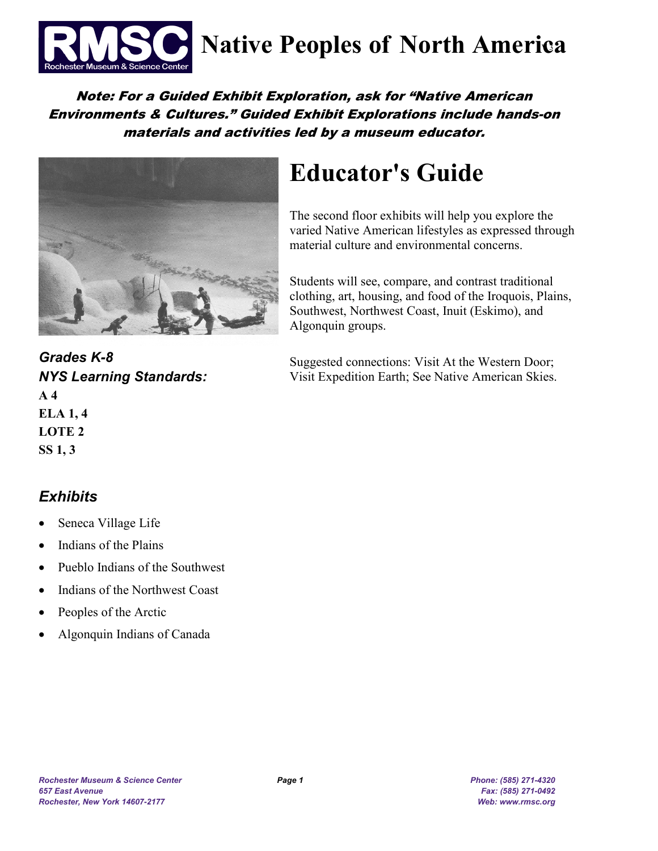

**Native Peoples of North America** 

### Note: For a Guided Exhibit Exploration, ask for "Native American Environments & Cultures." Guided Exhibit Explorations include hands-on materials and activities led by a museum educator.



# **Educator's Guide**

The second floor exhibits will help you explore the varied Native American lifestyles as expressed through material culture and environmental concerns.

Students will see, compare, and contrast traditional clothing, art, housing, and food of the Iroquois, Plains, Southwest, Northwest Coast, Inuit (Eskimo), and Algonquin groups.

Suggested connections: Visit At the Western Door; Visit Expedition Earth; See Native American Skies.

*Grades K-8 NYS Learning Standards:*  **A 4 ELA 1, 4 LOTE 2 SS 1, 3**

## *Exhibits*

- Seneca Village Life
- Indians of the Plains
- Pueblo Indians of the Southwest
- Indians of the Northwest Coast
- Peoples of the Arctic
- Algonquin Indians of Canada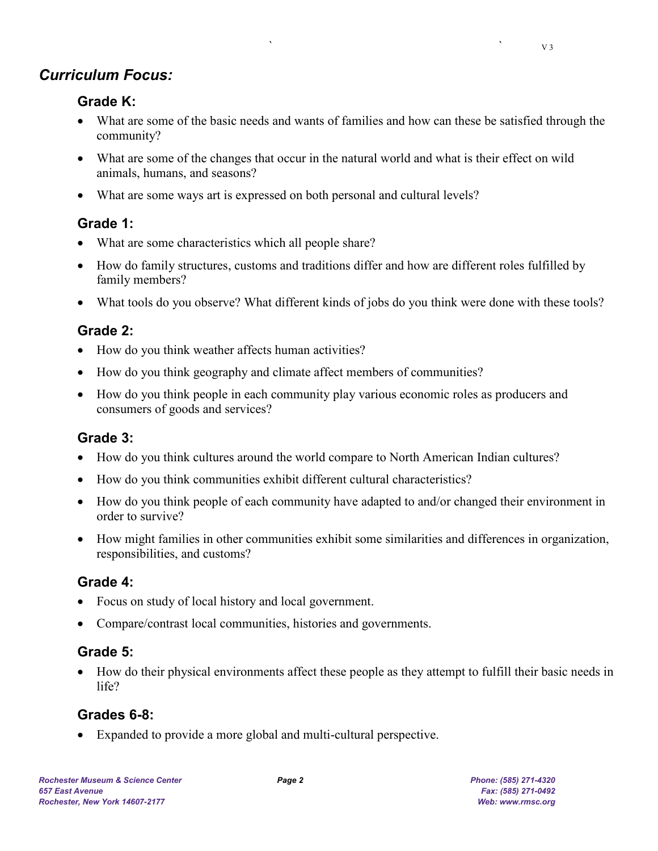## *Curriculum Focus:*

#### **Grade K:**

- What are some of the basic needs and wants of families and how can these be satisfied through the community?
- What are some of the changes that occur in the natural world and what is their effect on wild animals, humans, and seasons?
- What are some ways art is expressed on both personal and cultural levels?

## **Grade 1:**

- What are some characteristics which all people share?
- How do family structures, customs and traditions differ and how are different roles fulfilled by family members?
- What tools do you observe? What different kinds of jobs do you think were done with these tools?

### **Grade 2:**

- How do you think weather affects human activities?
- How do you think geography and climate affect members of communities?
- How do you think people in each community play various economic roles as producers and consumers of goods and services?

#### **Grade 3:**

- How do you think cultures around the world compare to North American Indian cultures?
- How do you think communities exhibit different cultural characteristics?
- How do you think people of each community have adapted to and/or changed their environment in order to survive?
- How might families in other communities exhibit some similarities and differences in organization, responsibilities, and customs?

#### **Grade 4:**

- Focus on study of local history and local government.
- Compare/contrast local communities, histories and governments.

#### **Grade 5:**

• How do their physical environments affect these people as they attempt to fulfill their basic needs in life?

#### **Grades 6-8:**

• Expanded to provide a more global and multi-cultural perspective.